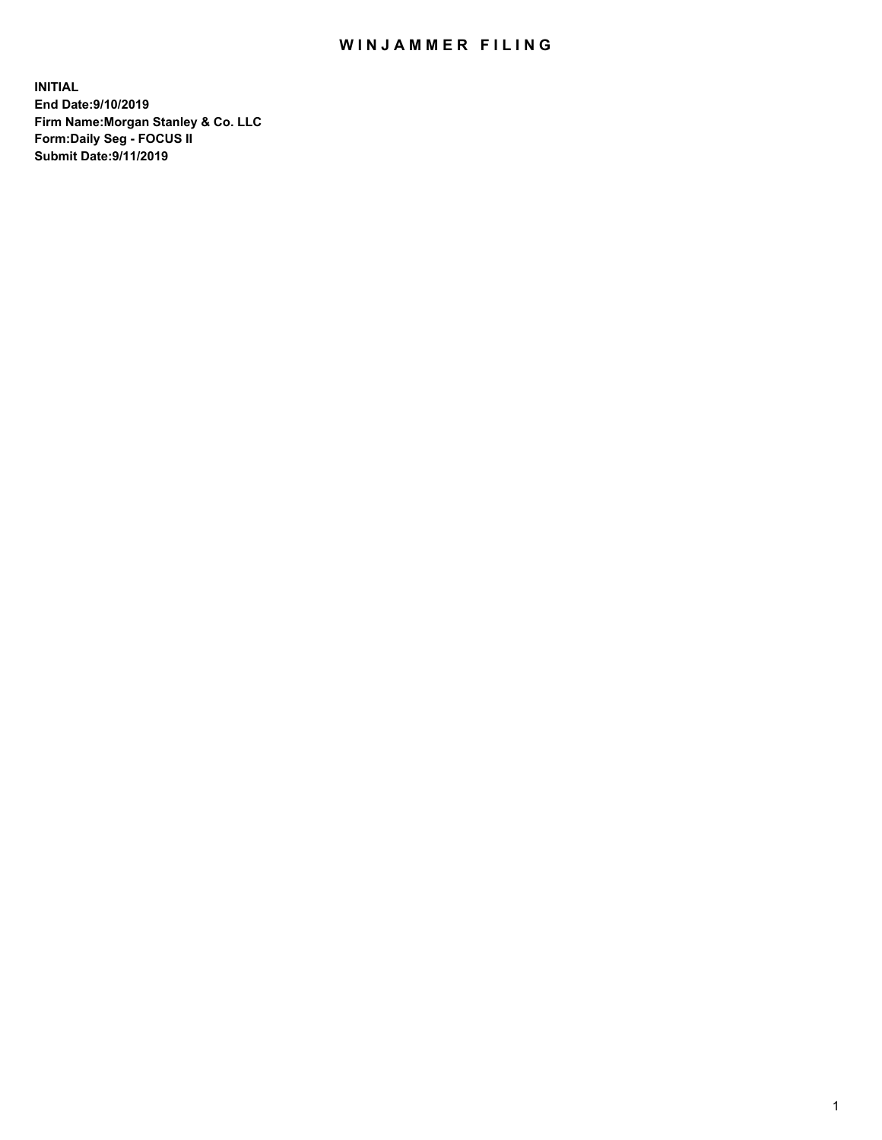## WIN JAMMER FILING

**INITIAL End Date:9/10/2019 Firm Name:Morgan Stanley & Co. LLC Form:Daily Seg - FOCUS II Submit Date:9/11/2019**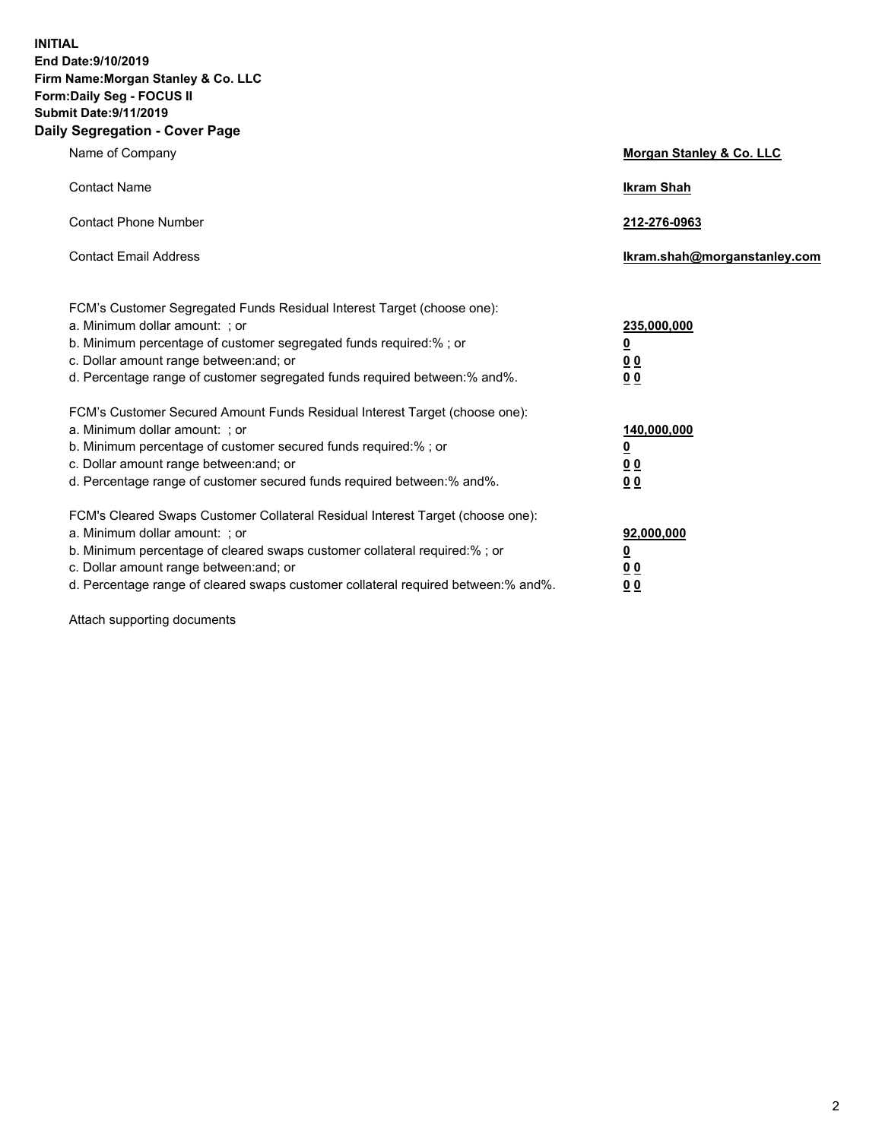**INITIAL End Date:9/10/2019 Firm Name:Morgan Stanley & Co. LLC Form:Daily Seg - FOCUS II Submit Date:9/11/2019 Daily Segregation - Cover Page**

| Name of Company                                                                                                                                                                                                                                                                                                               | Morgan Stanley & Co. LLC                                    |
|-------------------------------------------------------------------------------------------------------------------------------------------------------------------------------------------------------------------------------------------------------------------------------------------------------------------------------|-------------------------------------------------------------|
| <b>Contact Name</b>                                                                                                                                                                                                                                                                                                           | <b>Ikram Shah</b>                                           |
| <b>Contact Phone Number</b>                                                                                                                                                                                                                                                                                                   | 212-276-0963                                                |
| <b>Contact Email Address</b>                                                                                                                                                                                                                                                                                                  | Ikram.shah@morganstanley.com                                |
| FCM's Customer Segregated Funds Residual Interest Target (choose one):<br>a. Minimum dollar amount: ; or<br>b. Minimum percentage of customer segregated funds required:% ; or<br>c. Dollar amount range between: and; or<br>d. Percentage range of customer segregated funds required between:% and%.                        | 235,000,000<br><u>0</u><br><u>00</u><br>0 <sup>0</sup>      |
| FCM's Customer Secured Amount Funds Residual Interest Target (choose one):<br>a. Minimum dollar amount: ; or<br>b. Minimum percentage of customer secured funds required:%; or<br>c. Dollar amount range between: and; or<br>d. Percentage range of customer secured funds required between:% and%.                           | 140,000,000<br><u>0</u><br>0 <sub>0</sub><br>0 <sub>0</sub> |
| FCM's Cleared Swaps Customer Collateral Residual Interest Target (choose one):<br>a. Minimum dollar amount: ; or<br>b. Minimum percentage of cleared swaps customer collateral required:%; or<br>c. Dollar amount range between: and; or<br>d. Percentage range of cleared swaps customer collateral required between:% and%. | 92,000,000<br><u>0</u><br>0 Q<br>00                         |

Attach supporting documents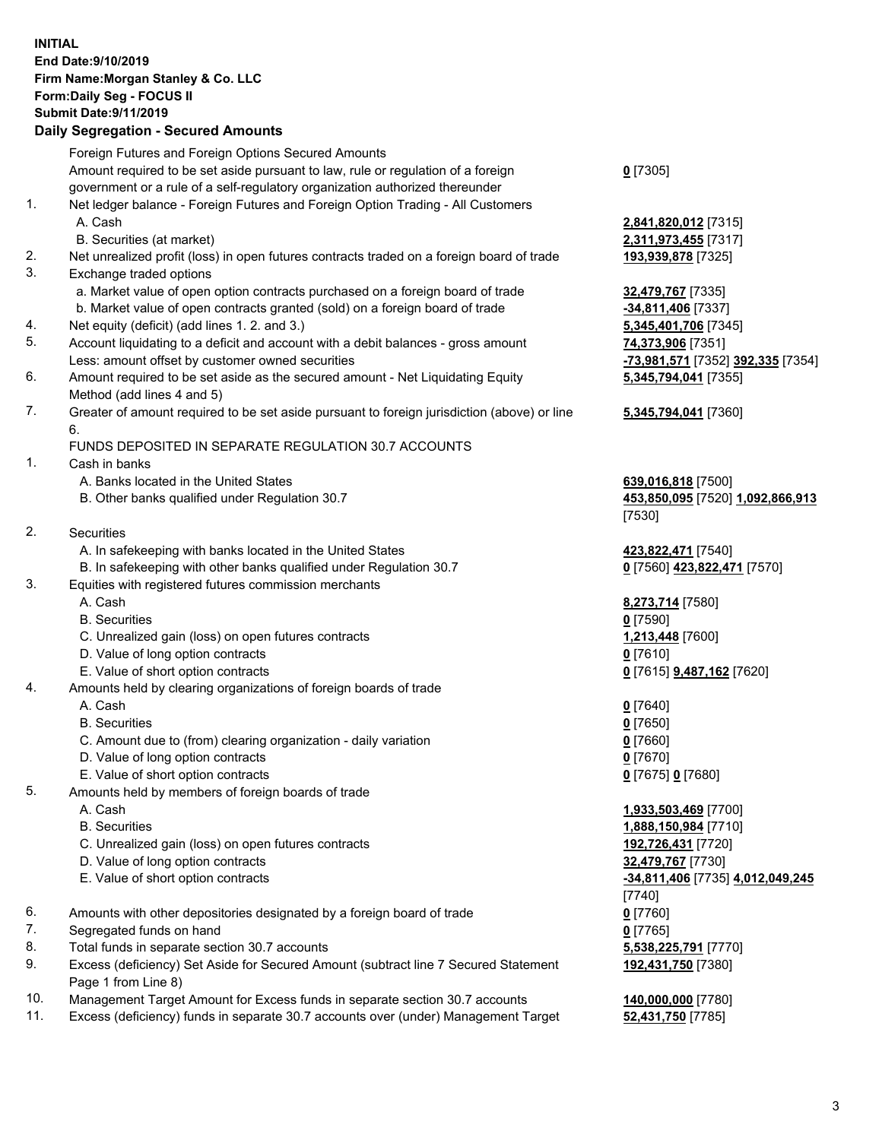## **INITIAL End Date:9/10/2019 Firm Name:Morgan Stanley & Co. LLC Form:Daily Seg - FOCUS II Submit Date:9/11/2019 Daily Segregation - Secured Amounts**

Foreign Futures and Foreign Options Secured Amounts Amount required to be set aside pursuant to law, rule or regulation of a foreign government or a rule of a self-regulatory organization authorized thereunder 1. Net ledger balance - Foreign Futures and Foreign Option Trading - All Customers A. Cash **2,841,820,012** [7315] B. Securities (at market) **2,311,973,455** [7317] 2. Net unrealized profit (loss) in open futures contracts traded on a foreign board of trade **193,939,878** [7325] 3. Exchange traded options a. Market value of open option contracts purchased on a foreign board of trade **32,479,767** [7335] b. Market value of open contracts granted (sold) on a foreign board of trade **-34,811,406** [7337] 4. Net equity (deficit) (add lines 1. 2. and 3.) **5,345,401,706** [7345] 5. Account liquidating to a deficit and account with a debit balances - gross amount **74,373,906** [7351] Less: amount offset by customer owned securities **-73,981,571** [7352] **392,335** [7354] 6. Amount required to be set aside as the secured amount - Net Liquidating Equity Method (add lines 4 and 5) 7. Greater of amount required to be set aside pursuant to foreign jurisdiction (above) or line 6. FUNDS DEPOSITED IN SEPARATE REGULATION 30.7 ACCOUNTS 1. Cash in banks A. Banks located in the United States **639,016,818** [7500] B. Other banks qualified under Regulation 30.7 **453,850,095** [7520] **1,092,866,913** 2. Securities A. In safekeeping with banks located in the United States **423,822,471** [7540] B. In safekeeping with other banks qualified under Regulation 30.7 **0** [7560] **423,822,471** [7570] 3. Equities with registered futures commission merchants A. Cash **8,273,714** [7580] B. Securities **0** [7590] C. Unrealized gain (loss) on open futures contracts **1,213,448** [7600] D. Value of long option contracts **0** [7610] E. Value of short option contracts **0** [7615] **9,487,162** [7620] 4. Amounts held by clearing organizations of foreign boards of trade A. Cash **0** [7640] B. Securities **0** [7650] C. Amount due to (from) clearing organization - daily variation **0** [7660] D. Value of long option contracts **0** [7670] E. Value of short option contracts **0** [7675] **0** [7680] 5. Amounts held by members of foreign boards of trade A. Cash **1,933,503,469** [7700] B. Securities **1,888,150,984** [7710] C. Unrealized gain (loss) on open futures contracts **192,726,431** [7720] D. Value of long option contracts **32,479,767** [7730] E. Value of short option contracts **-34,811,406** [7735] **4,012,049,245** 6. Amounts with other depositories designated by a foreign board of trade **0** [7760] 7. Segregated funds on hand **0** [7765] 8. Total funds in separate section 30.7 accounts **5,538,225,791** [7770] 9. Excess (deficiency) Set Aside for Secured Amount (subtract line 7 Secured Statement Page 1 from Line 8) 10. Management Target Amount for Excess funds in separate section 30.7 accounts **140,000,000** [7780]

- 
- 11. Excess (deficiency) funds in separate 30.7 accounts over (under) Management Target **52,431,750** [7785]

**0** [7305]

**5,345,794,041** [7355]

## **5,345,794,041** [7360]

[7530]

[7740] **192,431,750** [7380]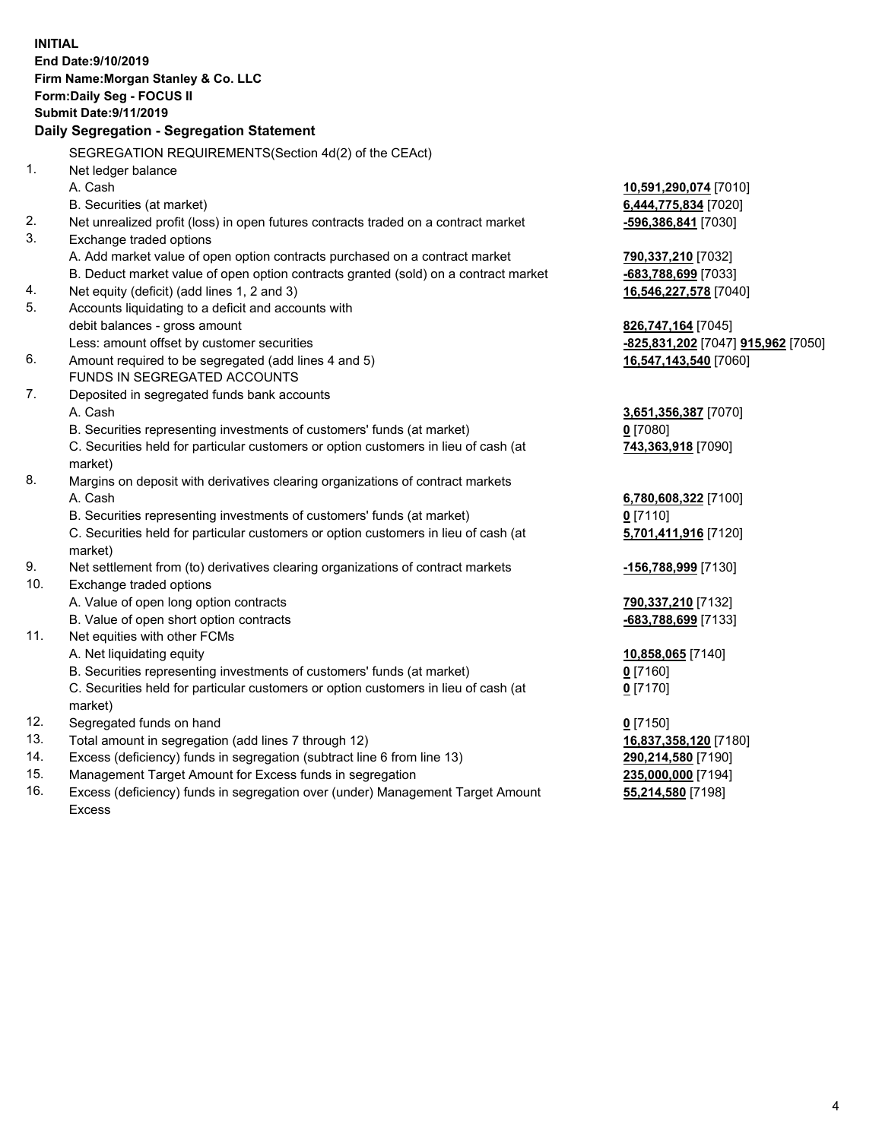|          | <b>INITIAL</b><br>End Date: 9/10/2019<br>Firm Name: Morgan Stanley & Co. LLC<br>Form: Daily Seg - FOCUS II<br><b>Submit Date: 9/11/2019</b> |                                                          |
|----------|---------------------------------------------------------------------------------------------------------------------------------------------|----------------------------------------------------------|
|          | Daily Segregation - Segregation Statement                                                                                                   |                                                          |
|          | SEGREGATION REQUIREMENTS(Section 4d(2) of the CEAct)                                                                                        |                                                          |
| 1.       | Net ledger balance                                                                                                                          |                                                          |
|          | A. Cash                                                                                                                                     | 10,591,290,074 [7010]                                    |
|          | B. Securities (at market)                                                                                                                   | 6,444,775,834 [7020]                                     |
| 2.       | Net unrealized profit (loss) in open futures contracts traded on a contract market                                                          | <mark>-596,386,841</mark> [7030]                         |
| 3.       | Exchange traded options                                                                                                                     |                                                          |
|          | A. Add market value of open option contracts purchased on a contract market                                                                 | 790,337,210 [7032]                                       |
|          | B. Deduct market value of open option contracts granted (sold) on a contract market                                                         | <mark>-683,788,699</mark> [7033]                         |
| 4.<br>5. | Net equity (deficit) (add lines 1, 2 and 3)                                                                                                 | <u>16,546,227,578</u> [7040]                             |
|          | Accounts liquidating to a deficit and accounts with                                                                                         |                                                          |
|          | debit balances - gross amount<br>Less: amount offset by customer securities                                                                 | 826,747,164 [7045]<br>-825,831,202 [7047] 915,962 [7050] |
| 6.       | Amount required to be segregated (add lines 4 and 5)                                                                                        | 16,547,143,540 [7060]                                    |
|          | FUNDS IN SEGREGATED ACCOUNTS                                                                                                                |                                                          |
| 7.       | Deposited in segregated funds bank accounts                                                                                                 |                                                          |
|          | A. Cash                                                                                                                                     | 3,651,356,387 [7070]                                     |
|          | B. Securities representing investments of customers' funds (at market)                                                                      | $0$ [7080]                                               |
|          | C. Securities held for particular customers or option customers in lieu of cash (at                                                         | 743,363,918 [7090]                                       |
|          | market)                                                                                                                                     |                                                          |
| 8.       | Margins on deposit with derivatives clearing organizations of contract markets                                                              |                                                          |
|          | A. Cash                                                                                                                                     | 6,780,608,322 [7100]                                     |
|          | B. Securities representing investments of customers' funds (at market)                                                                      | $0$ [7110]                                               |
|          | C. Securities held for particular customers or option customers in lieu of cash (at                                                         | 5,701,411,916 [7120]                                     |
|          | market)                                                                                                                                     |                                                          |
| 9.       | Net settlement from (to) derivatives clearing organizations of contract markets                                                             | <u>-156,788,999</u> [7130]                               |
| 10.      | Exchange traded options                                                                                                                     |                                                          |
|          | A. Value of open long option contracts                                                                                                      | 790,337,210 [7132]                                       |
|          | B. Value of open short option contracts                                                                                                     | -683,788,699 [7133]                                      |
| 11.      | Net equities with other FCMs                                                                                                                |                                                          |
|          | A. Net liquidating equity                                                                                                                   | 10,858,065 [7140]                                        |
|          | B. Securities representing investments of customers' funds (at market)                                                                      | $0$ [7160]                                               |
|          | C. Securities held for particular customers or option customers in lieu of cash (at                                                         | $0$ [7170]                                               |
|          | market)                                                                                                                                     |                                                          |
| 12.      | Segregated funds on hand                                                                                                                    | $0$ [7150]                                               |
| 13.      | Total amount in segregation (add lines 7 through 12)                                                                                        | 16,837,358,120 [7180]                                    |
| 14.      | Excess (deficiency) funds in segregation (subtract line 6 from line 13)                                                                     | 290,214,580 [7190]                                       |
| 15.      | Management Target Amount for Excess funds in segregation                                                                                    | 235,000,000 [7194]                                       |

16. Excess (deficiency) funds in segregation over (under) Management Target Amount Excess

**55,214,580** [7198]